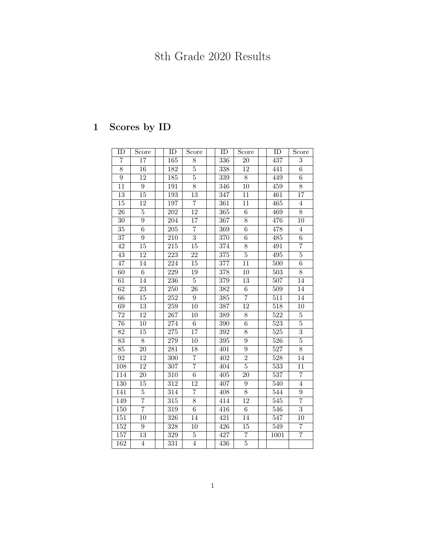## 8th Grade 2020 Results

## 1 Scores by ID

| ID               | <b>Score</b>    | $\overline{ID}$  | Score           | $\overline{ID}$  | Score            | $\overline{ID}$  | $\overline{\text{Score}}$ |
|------------------|-----------------|------------------|-----------------|------------------|------------------|------------------|---------------------------|
| 7                | 17              | $\overline{165}$ | 8               | 336              | 20               | 437              | $\overline{3}$            |
| $\overline{8}$   | $16\,$          | 182              | 5               | 338              | $\overline{12}$  | 441              | $6\phantom{.}$            |
| $\overline{9}$   | $\overline{12}$ | $\overline{185}$ | $\overline{5}$  | 339              | $\overline{8}$   | 449              | $\overline{6}$            |
| $\overline{11}$  | $\overline{9}$  | 191              | $\overline{8}$  | 346              | $\overline{10}$  | 459              | $\overline{8}$            |
| $\overline{13}$  | $\overline{15}$ | 193              | $\overline{13}$ | $\overline{347}$ | 11               | 461              | 17                        |
| $15\,$           | 12              | $\overline{197}$ | $\overline{7}$  | 361              | 11               | 465              | $\overline{4}$            |
| $\overline{26}$  | $\overline{5}$  | $\overline{202}$ | $\overline{12}$ | 365              | $\overline{6}$   | 469              | $\overline{8}$            |
| $\overline{30}$  | $\overline{9}$  | $\overline{204}$ | $\overline{17}$ | 367              | $\overline{8}$   | 476              | 10                        |
| $\overline{35}$  | $\overline{6}$  | 205              | $\overline{7}$  | 369              | $\overline{6}$   | 478              | $\overline{4}$            |
| 37               | $\overline{9}$  | 210              | $\overline{3}$  | 370              | $\overline{6}$   | 485              | 6                         |
| 42               | 15              | 215              | 15              | $\overline{374}$ | $\overline{8}$   | 491              | $\overline{7}$            |
| 43               | $\overline{12}$ | 223              | 22              | 375              | $\overline{5}$   | $\overline{495}$ | $\overline{5}$            |
| 47               | 14              | 224              | 15              | $\overline{377}$ | 11               | $\overline{500}$ | $\overline{6}$            |
| 60               | $\overline{6}$  | 229              | 19              | 378              | 10               | 503              | 8                         |
| 61               | 14              | 236              | $\overline{5}$  | 379              | $\overline{13}$  | $\overline{507}$ | 14                        |
| 62               | $\overline{23}$ | $\overline{250}$ | $\overline{26}$ | $\overline{382}$ | $\overline{6}$   | $\overline{509}$ | 14                        |
| 66               | $\overline{15}$ | $\overline{252}$ | $\overline{9}$  | $\overline{385}$ | $\overline{7}$   | $\overline{511}$ | $14\,$                    |
| 69               | $\overline{13}$ | $\overline{259}$ | $\overline{10}$ | $\overline{387}$ | $\overline{12}$  | $\overline{518}$ | 10                        |
| $\overline{72}$  | $\overline{12}$ | $\overline{267}$ | 10              | 389              | $\overline{8}$   | $\overline{522}$ | $\overline{5}$            |
| $\overline{76}$  | $\overline{10}$ | $\overline{274}$ | $\overline{6}$  | $\overline{390}$ | $\overline{6}$   | $\overline{523}$ | $\overline{5}$            |
| $\overline{82}$  | 15              | $\overline{275}$ | 17              | $\overline{392}$ | $\overline{8}$   | $\overline{525}$ | $\overline{3}$            |
| 83               | 8               | 279              | 10              | 395              | $\boldsymbol{9}$ | 526              | $\overline{5}$            |
| 85               | $\overline{20}$ | 281              | $\overline{18}$ | 401              | $\overline{9}$   | $\overline{527}$ | $\overline{8}$            |
| 92               | 12              | $\overline{300}$ | $\overline{7}$  | 402              | $\overline{2}$   | $\overline{528}$ | 14                        |
| 108              | $\overline{12}$ | 307              | $\overline{7}$  | 404              | $\overline{5}$   | $\overline{533}$ | 11                        |
| 114              | $\overline{20}$ | 310              | $\overline{6}$  | 405              | $\overline{20}$  | 537              | 7                         |
| 130              | 15              | 312              | $\overline{12}$ | 407              | $\overline{9}$   | 540              | $\overline{4}$            |
| 141              | $\overline{5}$  | $\overline{314}$ | $\overline{7}$  | 408              | $\overline{8}$   | 544              | $\overline{9}$            |
| 149              | $\overline{7}$  | $\overline{315}$ | $\overline{8}$  | 414              | $\overline{12}$  | $\overline{545}$ | $\overline{7}$            |
| 150              | 7               | 319              | $\sqrt{6}$      | 416              | $\,6$            | 546              | $\overline{3}$            |
| $\overline{151}$ | $\overline{10}$ | $\overline{326}$ | 14              | $\overline{421}$ | $\overline{14}$  | 547              | $\overline{10}$           |
| 152              | $\overline{9}$  | $\overline{328}$ | $\overline{10}$ | 426              | $\overline{15}$  | $\overline{549}$ | $\overline{7}$            |
| 157              | $\overline{13}$ | $\overline{329}$ | $\overline{5}$  | 427              | $\overline{7}$   | 1001             | $\overline{7}$            |
| $\overline{162}$ | $\overline{4}$  | $\overline{331}$ | $\overline{4}$  | 436              | $\overline{5}$   |                  |                           |